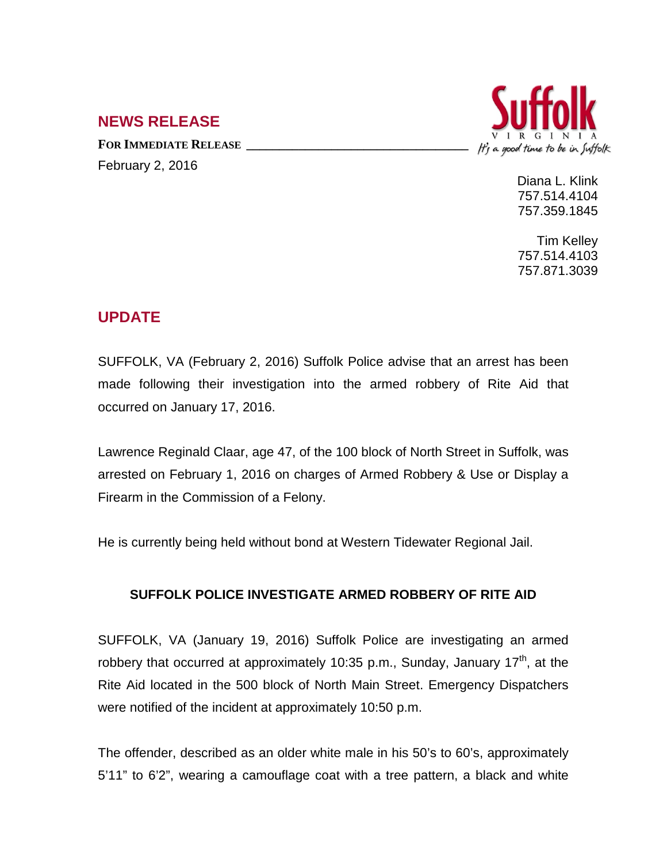## **NEWS RELEASE**

**FOR IMMEDIATE RELEASE \_\_\_\_\_\_\_\_\_\_\_\_\_\_\_\_\_\_\_\_\_\_\_\_\_\_\_\_\_\_\_\_\_\_** February 2, 2016



Diana L. Klink 757.514.4104 757.359.1845

Tim Kelley 757.514.4103 757.871.3039

## **UPDATE**

SUFFOLK, VA (February 2, 2016) Suffolk Police advise that an arrest has been made following their investigation into the armed robbery of Rite Aid that occurred on January 17, 2016.

Lawrence Reginald Claar, age 47, of the 100 block of North Street in Suffolk, was arrested on February 1, 2016 on charges of Armed Robbery & Use or Display a Firearm in the Commission of a Felony.

He is currently being held without bond at Western Tidewater Regional Jail.

## **SUFFOLK POLICE INVESTIGATE ARMED ROBBERY OF RITE AID**

SUFFOLK, VA (January 19, 2016) Suffolk Police are investigating an armed robbery that occurred at approximately 10:35 p.m., Sunday, January 17<sup>th</sup>, at the Rite Aid located in the 500 block of North Main Street. Emergency Dispatchers were notified of the incident at approximately 10:50 p.m.

The offender, described as an older white male in his 50's to 60's, approximately 5'11" to 6'2", wearing a camouflage coat with a tree pattern, a black and white